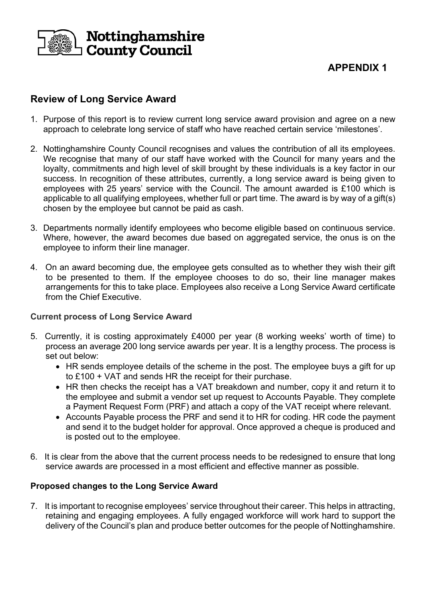

# **APPENDIX 1**

# **Review of Long Service Award**

- 1. Purpose of this report is to review current long service award provision and agree on a new approach to celebrate long service of staff who have reached certain service 'milestones'.
- 2. Nottinghamshire County Council recognises and values the contribution of all its employees. We recognise that many of our staff have worked with the Council for many years and the loyalty, commitments and high level of skill brought by these individuals is a key factor in our success. In recognition of these attributes, currently, a long service award is being given to employees with 25 years' service with the Council. The amount awarded is £100 which is applicable to all qualifying employees, whether full or part time. The award is by way of a gift(s) chosen by the employee but cannot be paid as cash.
- 3. Departments normally identify employees who become eligible based on continuous service. Where, however, the award becomes due based on aggregated service, the onus is on the employee to inform their line manager.
- 4. On an award becoming due, the employee gets consulted as to whether they wish their gift to be presented to them. If the employee chooses to do so, their line manager makes arrangements for this to take place. Employees also receive a Long Service Award certificate from the Chief Executive.

#### **Current process of Long Service Award**

- 5. Currently, it is costing approximately £4000 per year (8 working weeks' worth of time) to process an average 200 long service awards per year. It is a lengthy process. The process is set out below:
	- HR sends employee details of the scheme in the post. The employee buys a gift for up to £100 + VAT and sends HR the receipt for their purchase.
	- HR then checks the receipt has a VAT breakdown and number, copy it and return it to the employee and submit a vendor set up request to Accounts Payable. They complete a Payment Request Form (PRF) and attach a copy of the VAT receipt where relevant.
	- Accounts Payable process the PRF and send it to HR for coding. HR code the payment and send it to the budget holder for approval. Once approved a cheque is produced and is posted out to the employee.
- 6. It is clear from the above that the current process needs to be redesigned to ensure that long service awards are processed in a most efficient and effective manner as possible.

#### **Proposed changes to the Long Service Award**

7. It is important to recognise employees' service throughout their career. This helps in attracting, retaining and engaging employees. A fully engaged workforce will work hard to support the delivery of the Council's plan and produce better outcomes for the people of Nottinghamshire.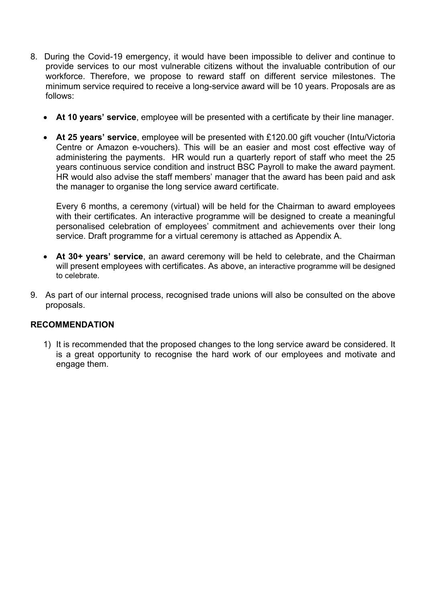- 8. During the Covid-19 emergency, it would have been impossible to deliver and continue to provide services to our most vulnerable citizens without the invaluable contribution of our workforce. Therefore, we propose to reward staff on different service milestones. The minimum service required to receive a long-service award will be 10 years. Proposals are as follows:
	- **At 10 years' service**, employee will be presented with a certificate by their line manager.
	- **At 25 years' service**, employee will be presented with £120.00 gift voucher (Intu/Victoria Centre or Amazon e-vouchers). This will be an easier and most cost effective way of administering the payments. HR would run a quarterly report of staff who meet the 25 years continuous service condition and instruct BSC Payroll to make the award payment. HR would also advise the staff members' manager that the award has been paid and ask the manager to organise the long service award certificate.

Every 6 months, a ceremony (virtual) will be held for the Chairman to award employees with their certificates. An interactive programme will be designed to create a meaningful personalised celebration of employees' commitment and achievements over their long service. Draft programme for a virtual ceremony is attached as Appendix A.

- **At 30+ years' service**, an award ceremony will be held to celebrate, and the Chairman will present employees with certificates. As above, an interactive programme will be designed to celebrate.
- 9. As part of our internal process, recognised trade unions will also be consulted on the above proposals.

#### **RECOMMENDATION**

1) It is recommended that the proposed changes to the long service award be considered. It is a great opportunity to recognise the hard work of our employees and motivate and engage them.